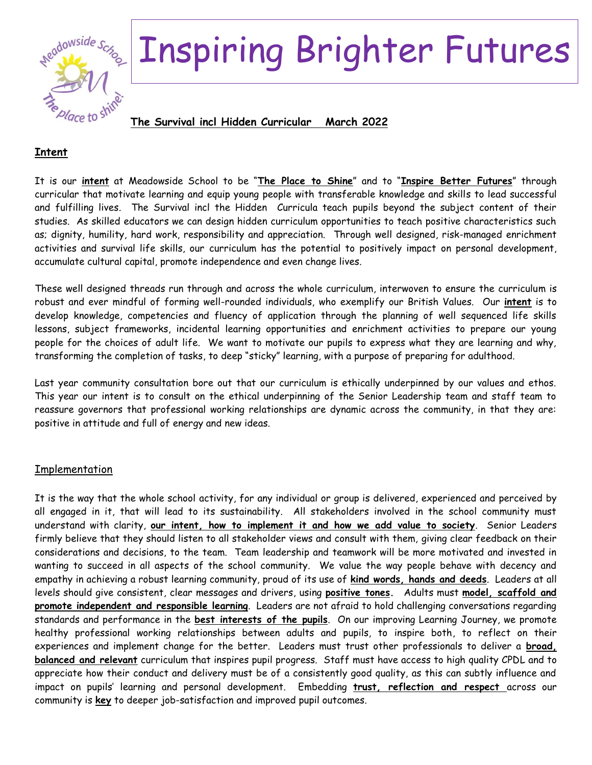

## Inspiring Brighter Futures

**The Survival incl Hidden Curricular March 2022**

## **Intent**

It is our **intent** at Meadowside School to be "**The Place to Shine**" and to "**Inspire Better Futures**" through curricular that motivate learning and equip young people with transferable knowledge and skills to lead successful and fulfilling lives. The Survival incl the Hidden Curricula teach pupils beyond the subject content of their studies. As skilled educators we can design hidden curriculum opportunities to teach positive characteristics such as; dignity, humility, hard work, responsibility and appreciation. Through well designed, risk-managed enrichment activities and survival life skills, our curriculum has the potential to positively impact on personal development, accumulate cultural capital, promote independence and even change lives.

These well designed threads run through and across the whole curriculum, interwoven to ensure the curriculum is robust and ever mindful of forming well-rounded individuals, who exemplify our British Values. Our **intent** is to develop knowledge, competencies and fluency of application through the planning of well sequenced life skills lessons, subject frameworks, incidental learning opportunities and enrichment activities to prepare our young people for the choices of adult life. We want to motivate our pupils to express what they are learning and why, transforming the completion of tasks, to deep "sticky" learning, with a purpose of preparing for adulthood.

Last year community consultation bore out that our curriculum is ethically underpinned by our values and ethos. This year our intent is to consult on the ethical underpinning of the Senior Leadership team and staff team to reassure governors that professional working relationships are dynamic across the community, in that they are: positive in attitude and full of energy and new ideas.

## Implementation

It is the way that the whole school activity, for any individual or group is delivered, experienced and perceived by all engaged in it, that will lead to its sustainability. All stakeholders involved in the school community must understand with clarity, **our intent, how to implement it and how we add value to society**. Senior Leaders firmly believe that they should listen to all stakeholder views and consult with them, giving clear feedback on their considerations and decisions, to the team. Team leadership and teamwork will be more motivated and invested in wanting to succeed in all aspects of the school community. We value the way people behave with decency and empathy in achieving a robust learning community, proud of its use of **kind words, hands and deeds**. Leaders at all levels should give consistent, clear messages and drivers, using **positive tones.** Adults must **model, scaffold and promote independent and responsible learning**. Leaders are not afraid to hold challenging conversations regarding standards and performance in the **best interests of the pupils**. On our improving Learning Journey, we promote healthy professional working relationships between adults and pupils, to inspire both, to reflect on their experiences and implement change for the better. Leaders must trust other professionals to deliver a **broad, balanced and relevant** curriculum that inspires pupil progress. Staff must have access to high quality CPDL and to appreciate how their conduct and delivery must be of a consistently good quality, as this can subtly influence and impact on pupils' learning and personal development. Embedding **trust, reflection and respect** across our community is **key** to deeper job-satisfaction and improved pupil outcomes.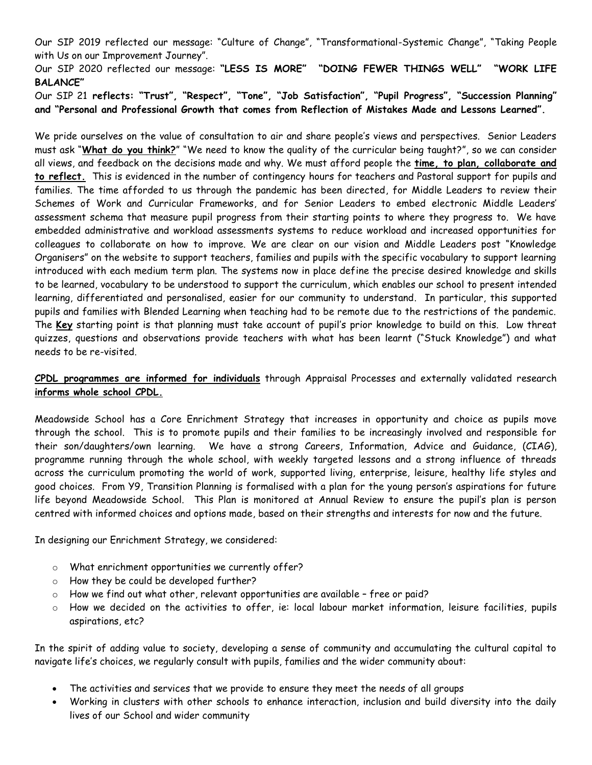Our SIP 2019 reflected our message: "Culture of Change", "Transformational-Systemic Change", "Taking People with Us on our Improvement Journey".

Our SIP 2020 reflected our message: **"LESS IS MORE" "DOING FEWER THINGS WELL" "WORK LIFE BALANCE"**

Our SIP 21 **reflects: "Trust", "Respect", "Tone", "Job Satisfaction", "Pupil Progress", "Succession Planning" and "Personal and Professional Growth that comes from Reflection of Mistakes Made and Lessons Learned".**

We pride ourselves on the value of consultation to air and share people's views and perspectives. Senior Leaders must ask "**What do you think?**" "We need to know the quality of the curricular being taught?", so we can consider all views, and feedback on the decisions made and why. We must afford people the **time, to plan, collaborate and to reflect.** This is evidenced in the number of contingency hours for teachers and Pastoral support for pupils and families. The time afforded to us through the pandemic has been directed, for Middle Leaders to review their Schemes of Work and Curricular Frameworks, and for Senior Leaders to embed electronic Middle Leaders' assessment schema that measure pupil progress from their starting points to where they progress to. We have embedded administrative and workload assessments systems to reduce workload and increased opportunities for colleagues to collaborate on how to improve. We are clear on our vision and Middle Leaders post "Knowledge Organisers" on the website to support teachers, families and pupils with the specific vocabulary to support learning introduced with each medium term plan. The systems now in place define the precise desired knowledge and skills to be learned, vocabulary to be understood to support the curriculum, which enables our school to present intended learning, differentiated and personalised, easier for our community to understand. In particular, this supported pupils and families with Blended Learning when teaching had to be remote due to the restrictions of the pandemic. The **Key** starting point is that planning must take account of pupil's prior knowledge to build on this. Low threat quizzes, questions and observations provide teachers with what has been learnt ("Stuck Knowledge") and what needs to be re-visited.

**CPDL programmes are informed for individuals** through Appraisal Processes and externally validated research **informs whole school CPDL.**

Meadowside School has a Core Enrichment Strategy that increases in opportunity and choice as pupils move through the school. This is to promote pupils and their families to be increasingly involved and responsible for their son/daughters/own learning. We have a strong Careers, Information, Advice and Guidance, (CIAG), programme running through the whole school, with weekly targeted lessons and a strong influence of threads across the curriculum promoting the world of work, supported living, enterprise, leisure, healthy life styles and good choices. From Y9, Transition Planning is formalised with a plan for the young person's aspirations for future life beyond Meadowside School. This Plan is monitored at Annual Review to ensure the pupil's plan is person centred with informed choices and options made, based on their strengths and interests for now and the future.

In designing our Enrichment Strategy, we considered:

- o What enrichment opportunities we currently offer?
- o How they be could be developed further?
- $\circ$  How we find out what other, relevant opportunities are available free or paid?
- $\circ$  How we decided on the activities to offer, ie: local labour market information, leisure facilities, pupils aspirations, etc?

In the spirit of adding value to society, developing a sense of community and accumulating the cultural capital to navigate life's choices, we regularly consult with pupils, families and the wider community about:

- The activities and services that we provide to ensure they meet the needs of all groups
- Working in clusters with other schools to enhance interaction, inclusion and build diversity into the daily lives of our School and wider community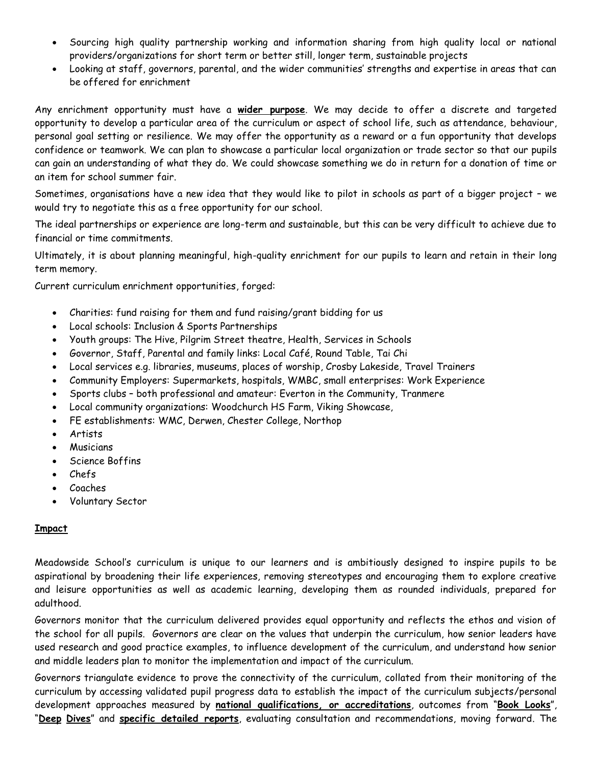- Sourcing high quality partnership working and information sharing from high quality local or national providers/organizations for short term or better still, longer term, sustainable projects
- Looking at staff, governors, parental, and the wider communities' strengths and expertise in areas that can be offered for enrichment

Any enrichment opportunity must have a **wider purpose**. We may decide to offer a discrete and targeted opportunity to develop a particular area of the curriculum or aspect of school life, such as attendance, behaviour, personal goal setting or resilience. We may offer the opportunity as a reward or a fun opportunity that develops confidence or teamwork. We can plan to showcase a particular local organization or trade sector so that our pupils can gain an understanding of what they do. We could showcase something we do in return for a donation of time or an item for school summer fair.

Sometimes, organisations have a new idea that they would like to pilot in schools as part of a bigger project – we would try to negotiate this as a free opportunity for our school.

The ideal partnerships or experience are long-term and sustainable, but this can be very difficult to achieve due to financial or time commitments.

Ultimately, it is about planning meaningful, high-quality enrichment for our pupils to learn and retain in their long term memory.

Current curriculum enrichment opportunities, forged:

- Charities: fund raising for them and fund raising/grant bidding for us
- Local schools: Inclusion & Sports Partnerships
- Youth groups: The Hive, Pilgrim Street theatre, Health, Services in Schools
- Governor, Staff, Parental and family links: Local Café, Round Table, Tai Chi
- Local services e.g. libraries, museums, places of worship, Crosby Lakeside, Travel Trainers
- Community Employers: Supermarkets, hospitals, WMBC, small enterprises: Work Experience
- Sports clubs both professional and amateur: Everton in the Community, Tranmere
- Local community organizations: Woodchurch HS Farm, Viking Showcase,
- FE establishments: WMC, Derwen, Chester College, Northop
- Artists
- **Musicians**
- Science Boffins
- Chefs
- Coaches
- Voluntary Sector

## **Impact**

Meadowside School's curriculum is unique to our learners and is ambitiously designed to inspire pupils to be aspirational by broadening their life experiences, removing stereotypes and encouraging them to explore creative and leisure opportunities as well as academic learning, developing them as rounded individuals, prepared for adulthood.

Governors monitor that the curriculum delivered provides equal opportunity and reflects the ethos and vision of the school for all pupils. Governors are clear on the values that underpin the curriculum, how senior leaders have used research and good practice examples, to influence development of the curriculum, and understand how senior and middle leaders plan to monitor the implementation and impact of the curriculum.

Governors triangulate evidence to prove the connectivity of the curriculum, collated from their monitoring of the curriculum by accessing validated pupil progress data to establish the impact of the curriculum subjects/personal development approaches measured by **national qualifications, or accreditations**, outcomes from "**Book Looks**", "**Deep Dives**" and **specific detailed reports**, evaluating consultation and recommendations, moving forward. The